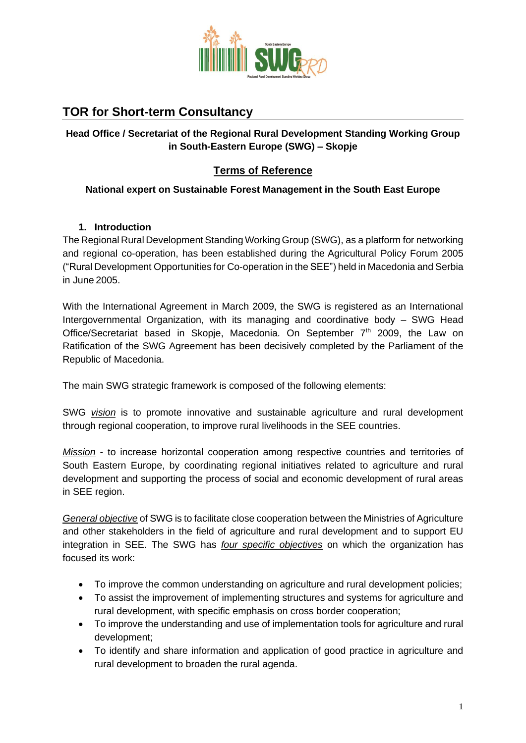

# **TOR for Short-term Consultancy**

### **Head Office / Secretariat of the Regional Rural Development Standing Working Group in South-Eastern Europe (SWG) – Skopje**

### **Terms of Reference**

#### **National expert on Sustainable Forest Management in the South East Europe**

#### **1. Introduction**

The Regional Rural Development Standing Working Group (SWG), as a platform for networking and regional co-operation, has been established during the Agricultural Policy Forum 2005 ("Rural Development Opportunities for Co-operation in the SEE") held in Macedonia and Serbia in June 2005.

With the International Agreement in March 2009, the SWG is registered as an International Intergovernmental Organization, with its managing and coordinative body – SWG Head Office/Secretariat based in Skopje, Macedonia. On September 7<sup>th</sup> 2009, the Law on Ratification of the SWG Agreement has been decisively completed by the Parliament of the Republic of Macedonia.

The main SWG strategic framework is composed of the following elements:

SWG *vision* is to promote innovative and sustainable agriculture and rural development through regional cooperation, to improve rural livelihoods in the SEE countries.

*Mission* - to increase horizontal cooperation among respective countries and territories of South Eastern Europe, by coordinating regional initiatives related to agriculture and rural development and supporting the process of social and economic development of rural areas in SEE region.

*General objective* of SWG is to facilitate close cooperation between the Ministries of Agriculture and other stakeholders in the field of agriculture and rural development and to support EU integration in SEE. The SWG has *four specific objectives* on which the organization has focused its work:

- To improve the common understanding on agriculture and rural development policies;
- To assist the improvement of implementing structures and systems for agriculture and rural development, with specific emphasis on cross border cooperation;
- To improve the understanding and use of implementation tools for agriculture and rural development;
- To identify and share information and application of good practice in agriculture and rural development to broaden the rural agenda.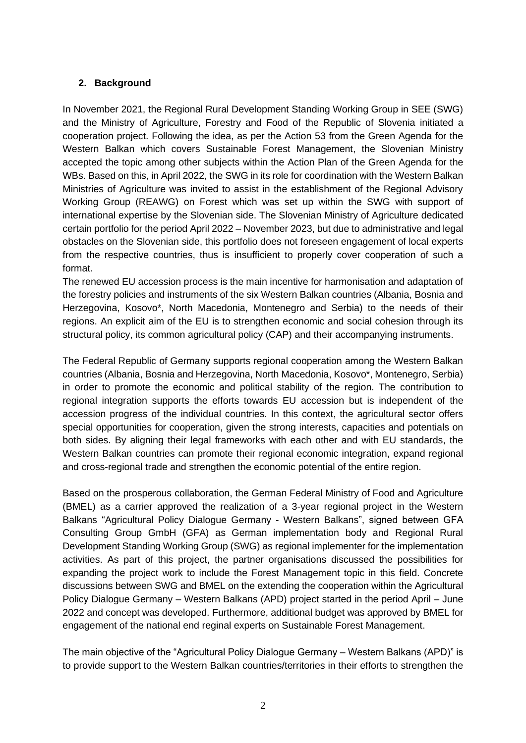#### **2. Background**

In November 2021, the Regional Rural Development Standing Working Group in SEE (SWG) and the Ministry of Agriculture, Forestry and Food of the Republic of Slovenia initiated a cooperation project. Following the idea, as per the Action 53 from the Green Agenda for the Western Balkan which covers Sustainable Forest Management, the Slovenian Ministry accepted the topic among other subjects within the Action Plan of the Green Agenda for the WBs. Based on this, in April 2022, the SWG in its role for coordination with the Western Balkan Ministries of Agriculture was invited to assist in the establishment of the Regional Advisory Working Group (REAWG) on Forest which was set up within the SWG with support of international expertise by the Slovenian side. The Slovenian Ministry of Agriculture dedicated certain portfolio for the period April 2022 – November 2023, but due to administrative and legal obstacles on the Slovenian side, this portfolio does not foreseen engagement of local experts from the respective countries, thus is insufficient to properly cover cooperation of such a format.

The renewed EU accession process is the main incentive for harmonisation and adaptation of the forestry policies and instruments of the six Western Balkan countries (Albania, Bosnia and Herzegovina, Kosovo\*, North Macedonia, Montenegro and Serbia) to the needs of their regions. An explicit aim of the EU is to strengthen economic and social cohesion through its structural policy, its common agricultural policy (CAP) and their accompanying instruments.

The Federal Republic of Germany supports regional cooperation among the Western Balkan countries (Albania, Bosnia and Herzegovina, North Macedonia, Kosovo\*, Montenegro, Serbia) in order to promote the economic and political stability of the region. The contribution to regional integration supports the efforts towards EU accession but is independent of the accession progress of the individual countries. In this context, the agricultural sector offers special opportunities for cooperation, given the strong interests, capacities and potentials on both sides. By aligning their legal frameworks with each other and with EU standards, the Western Balkan countries can promote their regional economic integration, expand regional and cross-regional trade and strengthen the economic potential of the entire region.

Based on the prosperous collaboration, the German Federal Ministry of Food and Agriculture (BMEL) as a carrier approved the realization of a 3-year regional project in the Western Balkans "Agricultural Policy Dialogue Germany - Western Balkans", signed between GFA Consulting Group GmbH (GFA) as German implementation body and Regional Rural Development Standing Working Group (SWG) as regional implementer for the implementation activities. As part of this project, the partner organisations discussed the possibilities for expanding the project work to include the Forest Management topic in this field. Concrete discussions between SWG and BMEL on the extending the cooperation within the Agricultural Policy Dialogue Germany – Western Balkans (APD) project started in the period April – June 2022 and concept was developed. Furthermore, additional budget was approved by BMEL for engagement of the national end reginal experts on Sustainable Forest Management.

The main objective of the "Agricultural Policy Dialogue Germany – Western Balkans (APD)" is to provide support to the Western Balkan countries/territories in their efforts to strengthen the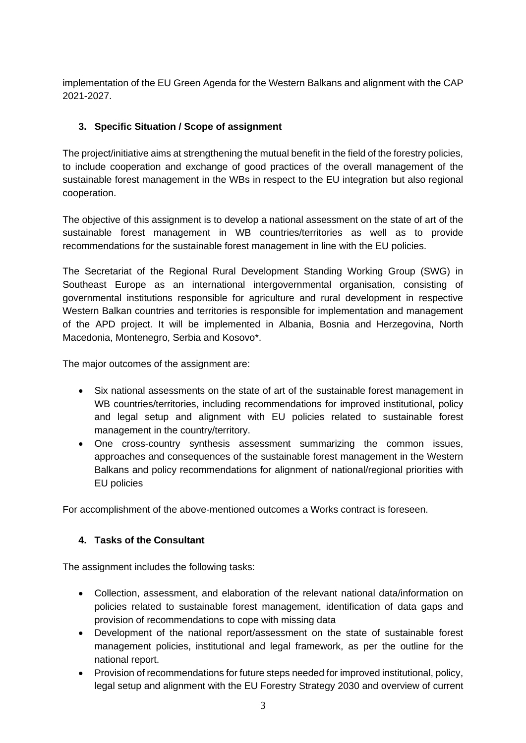implementation of the EU Green Agenda for the Western Balkans and alignment with the CAP 2021-2027.

# **3. Specific Situation / Scope of assignment**

The project/initiative aims at strengthening the mutual benefit in the field of the forestry policies, to include cooperation and exchange of good practices of the overall management of the sustainable forest management in the WBs in respect to the EU integration but also regional cooperation.

The objective of this assignment is to develop a national assessment on the state of art of the sustainable forest management in WB countries/territories as well as to provide recommendations for the sustainable forest management in line with the EU policies.

The Secretariat of the Regional Rural Development Standing Working Group (SWG) in Southeast Europe as an international intergovernmental organisation, consisting of governmental institutions responsible for agriculture and rural development in respective Western Balkan countries and territories is responsible for implementation and management of the APD project. It will be implemented in Albania, Bosnia and Herzegovina, North Macedonia, Montenegro, Serbia and Kosovo\*.

The major outcomes of the assignment are:

- Six national assessments on the state of art of the sustainable forest management in WB countries/territories, including recommendations for improved institutional, policy and legal setup and alignment with EU policies related to sustainable forest management in the country/territory.
- One cross-country synthesis assessment summarizing the common issues, approaches and consequences of the sustainable forest management in the Western Balkans and policy recommendations for alignment of national/regional priorities with EU policies

For accomplishment of the above-mentioned outcomes a Works contract is foreseen.

## **4. Tasks of the Consultant**

The assignment includes the following tasks:

- Collection, assessment, and elaboration of the relevant national data/information on policies related to sustainable forest management, identification of data gaps and provision of recommendations to cope with missing data
- Development of the national report/assessment on the state of sustainable forest management policies, institutional and legal framework, as per the outline for the national report.
- Provision of recommendations for future steps needed for improved institutional, policy, legal setup and alignment with the EU Forestry Strategy 2030 and overview of current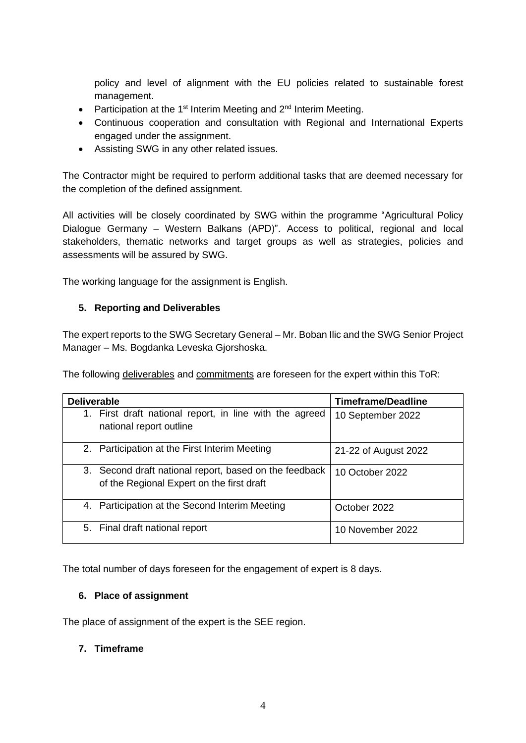policy and level of alignment with the EU policies related to sustainable forest management.

- Participation at the 1<sup>st</sup> Interim Meeting and  $2<sup>nd</sup>$  Interim Meeting.
- Continuous cooperation and consultation with Regional and International Experts engaged under the assignment.
- Assisting SWG in any other related issues.

The Contractor might be required to perform additional tasks that are deemed necessary for the completion of the defined assignment.

All activities will be closely coordinated by SWG within the programme "Agricultural Policy Dialogue Germany – Western Balkans (APD)". Access to political, regional and local stakeholders, thematic networks and target groups as well as strategies, policies and assessments will be assured by SWG.

The working language for the assignment is English.

#### **5. Reporting and Deliverables**

The expert reports to the SWG Secretary General – Mr. Boban Ilic and the SWG Senior Project Manager – Ms. Bogdanka Leveska Gjorshoska.

The following deliverables and commitments are foreseen for the expert within this ToR:

| <b>Deliverable</b>                                                                                  | <b>Timeframe/Deadline</b> |
|-----------------------------------------------------------------------------------------------------|---------------------------|
| 1. First draft national report, in line with the agreed<br>national report outline                  | 10 September 2022         |
| 2. Participation at the First Interim Meeting                                                       | 21-22 of August 2022      |
| 3. Second draft national report, based on the feedback<br>of the Regional Expert on the first draft | 10 October 2022           |
| 4. Participation at the Second Interim Meeting                                                      | October 2022              |
| 5. Final draft national report                                                                      | 10 November 2022          |

The total number of days foreseen for the engagement of expert is 8 days.

#### **6. Place of assignment**

The place of assignment of the expert is the SEE region.

#### **7. Timeframe**